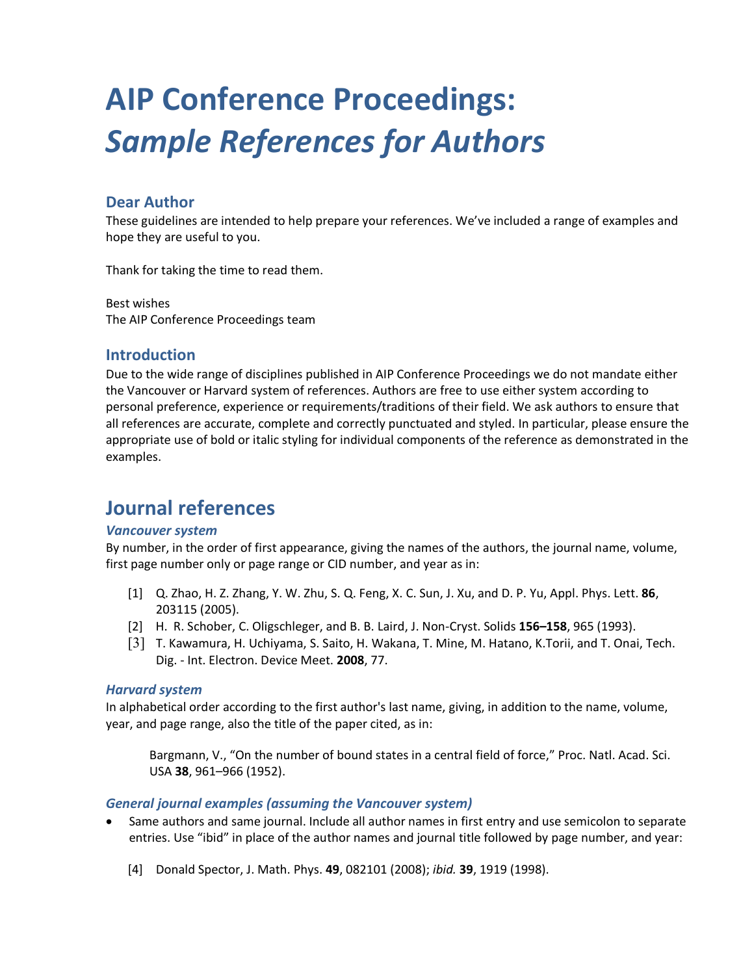# **AIP Conference Proceedings:**  *Sample References for Authors*

## **Dear Author**

These guidelines are intended to help prepare your references. We've included a range of examples and hope they are useful to you.

Thank for taking the time to read them.

Best wishes The AIP Conference Proceedings team

### **Introduction**

Due to the wide range of disciplines published in AIP Conference Proceedings we do not mandate either the Vancouver or Harvard system of references. Authors are free to use either system according to personal preference, experience or requirements/traditions of their field. We ask authors to ensure that all references are accurate, complete and correctly punctuated and styled. In particular, please ensure the appropriate use of bold or italic styling for individual components of the reference as demonstrated in the examples.

# **Journal references**

#### *Vancouver system*

By number, in the order of first appearance, giving the names of the authors, the journal name, volume, first page number only or page range or CID number, and year as in:

- [1] Q. Zhao, H. Z. Zhang, Y. W. Zhu, S. Q. Feng, X. C. Sun, J. Xu, and D. P. Yu, Appl. Phys. Lett. **86**, 203115 (2005).
- [2] H. R. Schober, C. Oligschleger, and B. B. Laird, J. Non-Cryst. Solids **156–158**, 965 (1993).
- [3] T. Kawamura, H. Uchiyama, S. Saito, H. Wakana, T. Mine, M. Hatano, K.Torii, and T. Onai, Tech. Dig. - Int. Electron. Device Meet. **2008**, 77.

#### *Harvard system*

In alphabetical order according to the first author's last name, giving, in addition to the name, volume, year, and page range, also the title of the paper cited, as in:

Bargmann, V., "On the number of bound states in a central field of force," Proc. Natl. Acad. Sci. USA **38**, 961–966 (1952).

#### *General journal examples (assuming the Vancouver system)*

- Same authors and same journal. Include all author names in first entry and use semicolon to separate entries. Use "ibid" in place of the author names and journal title followed by page number, and year:
	- [4] Donald Spector, J. Math. Phys. **49**, 082101 (2008); *ibid.* **39**, 1919 (1998).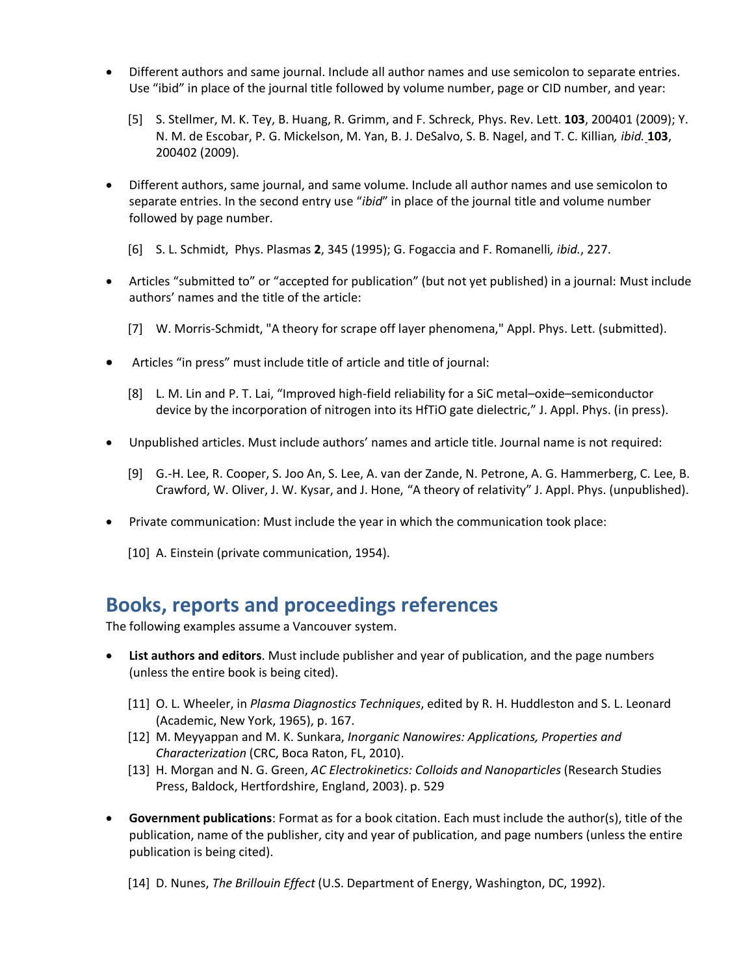- Different authors and same journal. Include all author names and use semicolon to separate entries. Use "ibid" in place of the journal title followed by volume number, page or CID number, and year:
	- [5] S. Stellmer, M. K. Tey, B. Huang, R. Grimm, and F. Schreck, Phys. Rev. Lett. **103**, 200401 (2009); Y. N. M. de Escobar, P. G. Mickelson, M. Yan, B. J. DeSalvo, S. B. Nagel, and T. C. Killian*, ibid.* **103**, 200402 (2009).
- Different authors, same journal, and same volume. Include all author names and use semicolon to separate entries. In the second entry use "*ibid*" in place of the journal title and volume number followed by page number.
	- [6] S. L. Schmidt, Phys. Plasmas **2**, 345 (1995); G. Fogaccia and F. Romanelli*, ibid.*, 227.
- Articles "submitted to" or "accepted for publication" (but not yet published) in a journal: Must include authors' names and the title of the article:
	- [7] W. Morris-Schmidt, "A theory for scrape off layer phenomena," Appl. Phys. Lett. (submitted).
- Articles "in press" must include title of article and title of journal:
	- [8] L. M. Lin and P. T. Lai, "Improved high-field reliability for a SiC metal–oxide–semiconductor device by the incorporation of nitrogen into its HfTiO gate dielectric," J. Appl. Phys. (in press).
- Unpublished articles. Must include authors' names and article title. Journal name is not required:
	- [9] G.-H. Lee, R. Cooper, S. Joo An, S. Lee, A. van der Zande, N. Petrone, A. G. Hammerberg, C. Lee, B. Crawford, W. Oliver, J. W. Kysar, and J. Hone, "A theory of relativity" J. Appl. Phys. (unpublished).
- Private communication: Must include the year in which the communication took place:
	- [10] A. Einstein (private communication, 1954).

## **Books, reports and proceedings references**

The following examples assume a Vancouver system.

- **List authors and editors**. Must include publisher and year of publication, and the page numbers (unless the entire book is being cited).
	- [11] O. L. Wheeler, in *Plasma Diagnostics Techniques*, edited by R. H. Huddleston and S. L. Leonard (Academic, New York, 1965), p. 167.
	- [12] M. Meyyappan and M. K. Sunkara, *Inorganic Nanowires: Applications, Properties and Characterization* (CRC, Boca Raton, FL, 2010).
	- [13] H. Morgan and N. G. Green, *AC Electrokinetics: Colloids and Nanoparticles* (Research Studies Press, Baldock, Hertfordshire, England, 2003). p. 529
- **Government publications**: Format as for a book citation. Each must include the author(s), title of the publication, name of the publisher, city and year of publication, and page numbers (unless the entire publication is being cited).
	- [14] D. Nunes, *The Brillouin Effect* (U.S. Department of Energy, Washington, DC, 1992).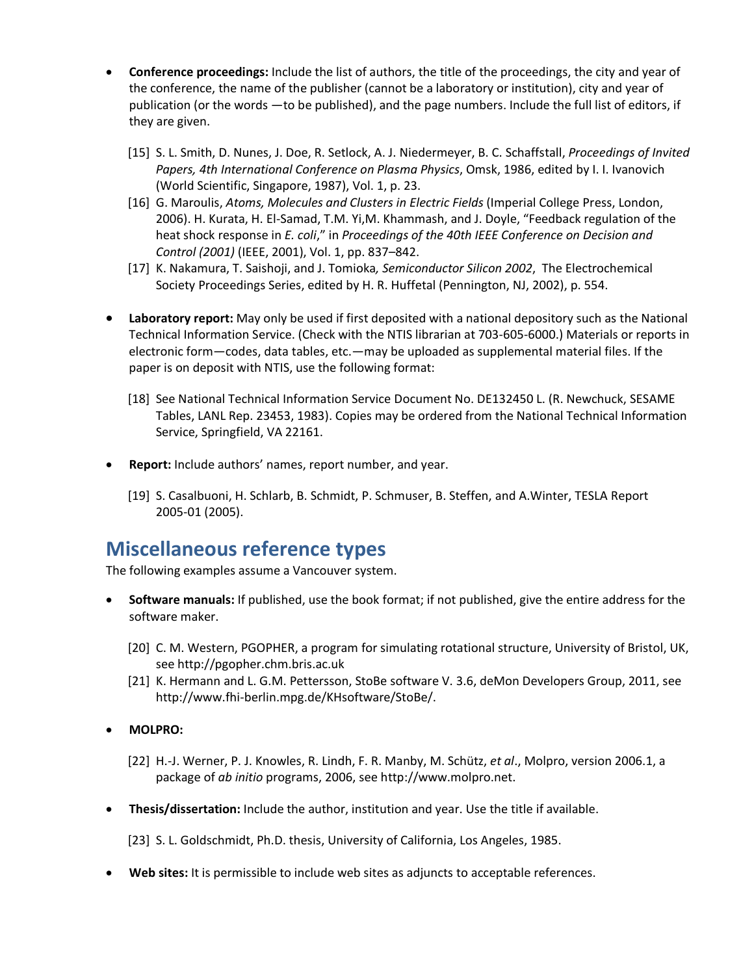- **Conference proceedings:** Include the list of authors, the title of the proceedings, the city and year of the conference, the name of the publisher (cannot be a laboratory or institution), city and year of publication (or the words —to be published), and the page numbers. Include the full list of editors, if they are given.
	- [15] S. L. Smith, D. Nunes, J. Doe, R. Setlock, A. J. Niedermeyer, B. C. Schaffstall, *Proceedings of Invited Papers, 4th International Conference on Plasma Physics*, Omsk, 1986, edited by I. I. Ivanovich (World Scientific, Singapore, 1987), Vol. 1, p. 23.
	- [16] G. Maroulis, *Atoms, Molecules and Clusters in Electric Fields* (Imperial College Press, London, 2006). H. Kurata, H. El-Samad, T.M. Yi,M. Khammash, and J. Doyle, "Feedback regulation of the heat shock response in *E. coli*," in *Proceedings of the 40th IEEE Conference on Decision and Control (2001)* (IEEE, 2001), Vol. 1, pp. 837–842.
	- [17] K. Nakamura, T. Saishoji, and J. Tomioka*, Semiconductor Silicon 2002*, The Electrochemical Society Proceedings Series, edited by H. R. Huffetal (Pennington, NJ, 2002), p. 554.
- **Laboratory report:** May only be used if first deposited with a national depository such as the National Technical Information Service. (Check with the NTIS librarian at 703-605-6000.) Materials or reports in electronic form—codes, data tables, etc.—may be uploaded as supplemental material files. If the paper is on deposit with NTIS, use the following format:
	- [18] See National Technical Information Service Document No. DE132450 L. (R. Newchuck, SESAME Tables, LANL Rep. 23453, 1983). Copies may be ordered from the National Technical Information Service, Springfield, VA 22161.
- **Report:** Include authors' names, report number, and year.
	- [19] S. Casalbuoni, H. Schlarb, B. Schmidt, P. Schmuser, B. Steffen, and A.Winter, TESLA Report 2005-01 (2005).

## **Miscellaneous reference types**

The following examples assume a Vancouver system.

- **Software manuals:** If published, use the book format; if not published, give the entire address for the software maker.
	- [20] C. M. Western, PGOPHER, a program for simulating rotational structure, University of Bristol, UK, see http://pgopher.chm.bris.ac.uk
	- [21] K. Hermann and L. G.M. Pettersson, StoBe software V. 3.6, deMon Developers Group, 2011, see http://www.fhi-berlin.mpg.de/KHsoftware/StoBe/.
- **MOLPRO:**
	- [22] H.-J. Werner, P. J. Knowles, R. Lindh, F. R. Manby, M. Schütz, *et al*., Molpro, version 2006.1, a package of *ab initio* programs, 2006, see http://www.molpro.net.
- **Thesis/dissertation:** Include the author, institution and year. Use the title if available.

[23] S. L. Goldschmidt, Ph.D. thesis, University of California, Los Angeles, 1985.

• **Web sites:** It is permissible to include web sites as adjuncts to acceptable references.